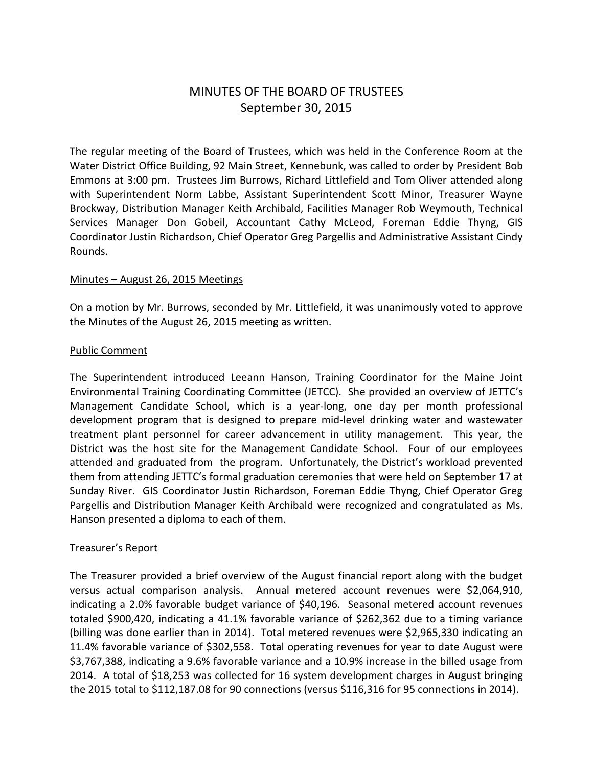# MINUTES OF THE BOARD OF TRUSTEES September 30, 2015

The regular meeting of the Board of Trustees, which was held in the Conference Room at the Water District Office Building, 92 Main Street, Kennebunk, was called to order by President Bob Emmons at 3:00 pm. Trustees Jim Burrows, Richard Littlefield and Tom Oliver attended along with Superintendent Norm Labbe, Assistant Superintendent Scott Minor, Treasurer Wayne Brockway, Distribution Manager Keith Archibald, Facilities Manager Rob Weymouth, Technical Services Manager Don Gobeil, Accountant Cathy McLeod, Foreman Eddie Thyng, GIS Coordinator Justin Richardson, Chief Operator Greg Pargellis and Administrative Assistant Cindy Rounds.

# Minutes – August 26, 2015 Meetings

On a motion by Mr. Burrows, seconded by Mr. Littlefield, it was unanimously voted to approve the Minutes of the August 26, 2015 meeting as written.

#### Public Comment

The Superintendent introduced Leeann Hanson, Training Coordinator for the Maine Joint Environmental Training Coordinating Committee (JETCC). She provided an overview of JETTC's Management Candidate School, which is a year-long, one day per month professional development program that is designed to prepare mid-level drinking water and wastewater treatment plant personnel for career advancement in utility management. This year, the District was the host site for the Management Candidate School. Four of our employees attended and graduated from the program. Unfortunately, the District's workload prevented them from attending JETTC's formal graduation ceremonies that were held on September 17 at Sunday River. GIS Coordinator Justin Richardson, Foreman Eddie Thyng, Chief Operator Greg Pargellis and Distribution Manager Keith Archibald were recognized and congratulated as Ms. Hanson presented a diploma to each of them.

# Treasurer's Report

The Treasurer provided a brief overview of the August financial report along with the budget versus actual comparison analysis. Annual metered account revenues were \$2,064,910, indicating a 2.0% favorable budget variance of \$40,196. Seasonal metered account revenues totaled \$900,420, indicating a 41.1% favorable variance of \$262,362 due to a timing variance (billing was done earlier than in 2014). Total metered revenues were \$2,965,330 indicating an 11.4% favorable variance of \$302,558. Total operating revenues for year to date August were \$3,767,388, indicating a 9.6% favorable variance and a 10.9% increase in the billed usage from 2014. A total of \$18,253 was collected for 16 system development charges in August bringing the 2015 total to \$112,187.08 for 90 connections (versus \$116,316 for 95 connections in 2014).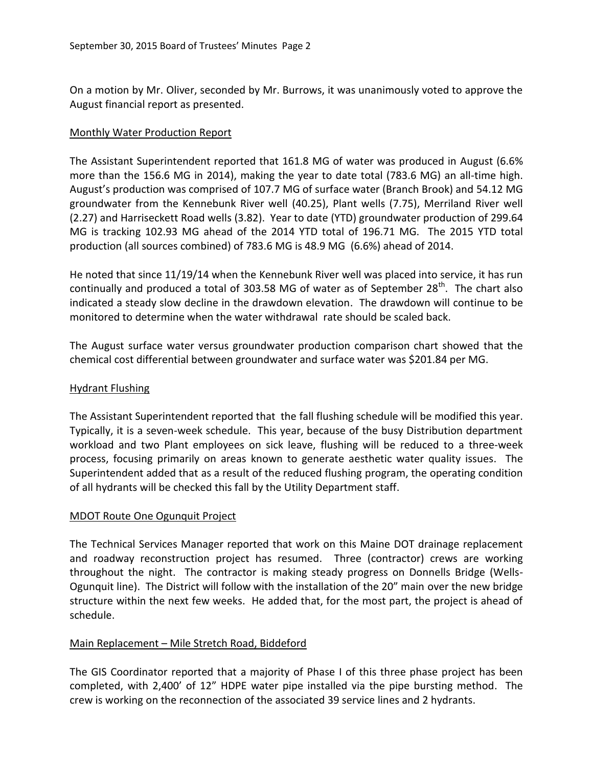On a motion by Mr. Oliver, seconded by Mr. Burrows, it was unanimously voted to approve the August financial report as presented.

# Monthly Water Production Report

The Assistant Superintendent reported that 161.8 MG of water was produced in August (6.6% more than the 156.6 MG in 2014), making the year to date total (783.6 MG) an all-time high. August's production was comprised of 107.7 MG of surface water (Branch Brook) and 54.12 MG groundwater from the Kennebunk River well (40.25), Plant wells (7.75), Merriland River well (2.27) and Harriseckett Road wells (3.82). Year to date (YTD) groundwater production of 299.64 MG is tracking 102.93 MG ahead of the 2014 YTD total of 196.71 MG. The 2015 YTD total production (all sources combined) of 783.6 MG is 48.9 MG (6.6%) ahead of 2014.

He noted that since 11/19/14 when the Kennebunk River well was placed into service, it has run continually and produced a total of 303.58 MG of water as of September  $28^{th}$ . The chart also indicated a steady slow decline in the drawdown elevation. The drawdown will continue to be monitored to determine when the water withdrawal rate should be scaled back.

The August surface water versus groundwater production comparison chart showed that the chemical cost differential between groundwater and surface water was \$201.84 per MG.

# Hydrant Flushing

The Assistant Superintendent reported that the fall flushing schedule will be modified this year. Typically, it is a seven-week schedule. This year, because of the busy Distribution department workload and two Plant employees on sick leave, flushing will be reduced to a three-week process, focusing primarily on areas known to generate aesthetic water quality issues. The Superintendent added that as a result of the reduced flushing program, the operating condition of all hydrants will be checked this fall by the Utility Department staff.

# MDOT Route One Ogunquit Project

The Technical Services Manager reported that work on this Maine DOT drainage replacement and roadway reconstruction project has resumed. Three (contractor) crews are working throughout the night. The contractor is making steady progress on Donnells Bridge (Wells-Ogunquit line). The District will follow with the installation of the 20" main over the new bridge structure within the next few weeks. He added that, for the most part, the project is ahead of schedule.

# Main Replacement – Mile Stretch Road, Biddeford

The GIS Coordinator reported that a majority of Phase I of this three phase project has been completed, with 2,400' of 12" HDPE water pipe installed via the pipe bursting method. The crew is working on the reconnection of the associated 39 service lines and 2 hydrants.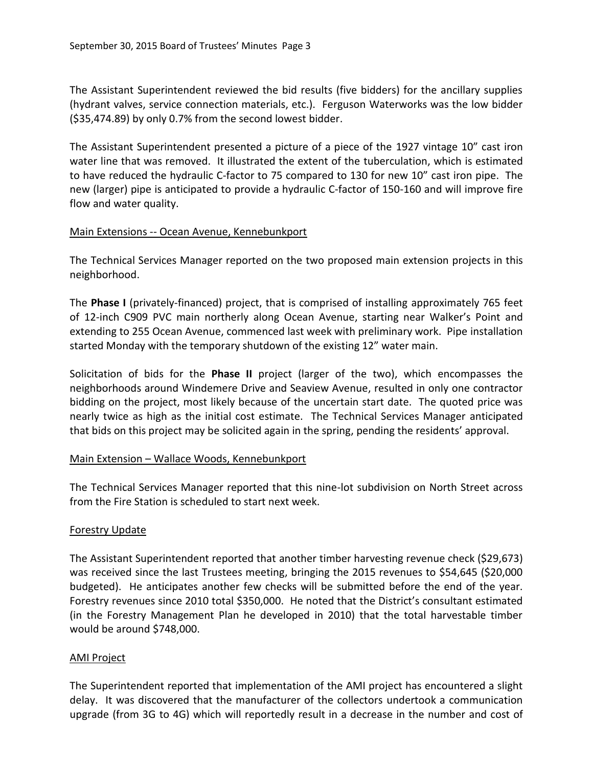The Assistant Superintendent reviewed the bid results (five bidders) for the ancillary supplies (hydrant valves, service connection materials, etc.). Ferguson Waterworks was the low bidder (\$35,474.89) by only 0.7% from the second lowest bidder.

The Assistant Superintendent presented a picture of a piece of the 1927 vintage 10" cast iron water line that was removed. It illustrated the extent of the tuberculation, which is estimated to have reduced the hydraulic C-factor to 75 compared to 130 for new 10" cast iron pipe. The new (larger) pipe is anticipated to provide a hydraulic C-factor of 150-160 and will improve fire flow and water quality.

# Main Extensions -- Ocean Avenue, Kennebunkport

The Technical Services Manager reported on the two proposed main extension projects in this neighborhood.

The **Phase I** (privately-financed) project, that is comprised of installing approximately 765 feet of 12-inch C909 PVC main northerly along Ocean Avenue, starting near Walker's Point and extending to 255 Ocean Avenue, commenced last week with preliminary work. Pipe installation started Monday with the temporary shutdown of the existing 12" water main.

Solicitation of bids for the **Phase II** project (larger of the two), which encompasses the neighborhoods around Windemere Drive and Seaview Avenue, resulted in only one contractor bidding on the project, most likely because of the uncertain start date. The quoted price was nearly twice as high as the initial cost estimate. The Technical Services Manager anticipated that bids on this project may be solicited again in the spring, pending the residents' approval.

# Main Extension – Wallace Woods, Kennebunkport

The Technical Services Manager reported that this nine-lot subdivision on North Street across from the Fire Station is scheduled to start next week.

# Forestry Update

The Assistant Superintendent reported that another timber harvesting revenue check (\$29,673) was received since the last Trustees meeting, bringing the 2015 revenues to \$54,645 (\$20,000 budgeted). He anticipates another few checks will be submitted before the end of the year. Forestry revenues since 2010 total \$350,000. He noted that the District's consultant estimated (in the Forestry Management Plan he developed in 2010) that the total harvestable timber would be around \$748,000.

# AMI Project

The Superintendent reported that implementation of the AMI project has encountered a slight delay. It was discovered that the manufacturer of the collectors undertook a communication upgrade (from 3G to 4G) which will reportedly result in a decrease in the number and cost of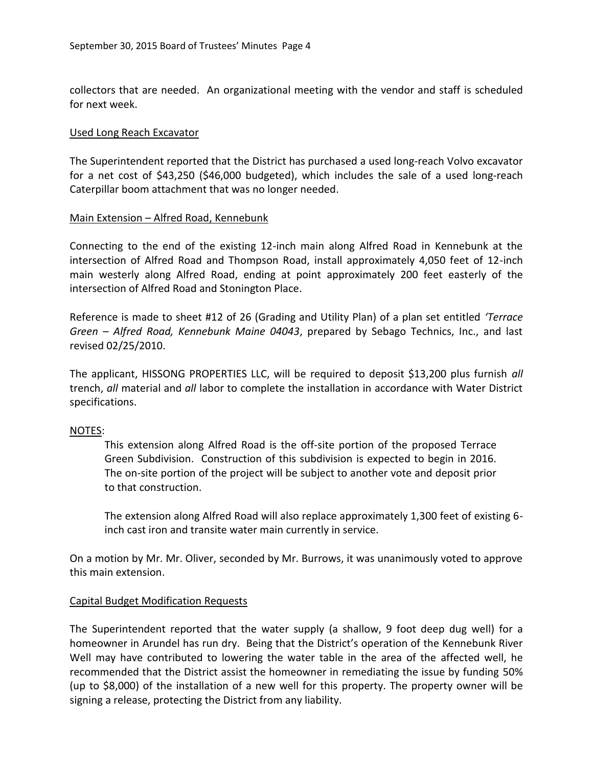collectors that are needed. An organizational meeting with the vendor and staff is scheduled for next week.

#### Used Long Reach Excavator

The Superintendent reported that the District has purchased a used long-reach Volvo excavator for a net cost of \$43,250 (\$46,000 budgeted), which includes the sale of a used long-reach Caterpillar boom attachment that was no longer needed.

#### Main Extension – Alfred Road, Kennebunk

Connecting to the end of the existing 12-inch main along Alfred Road in Kennebunk at the intersection of Alfred Road and Thompson Road, install approximately 4,050 feet of 12-inch main westerly along Alfred Road, ending at point approximately 200 feet easterly of the intersection of Alfred Road and Stonington Place.

Reference is made to sheet #12 of 26 (Grading and Utility Plan) of a plan set entitled *'Terrace Green – Alfred Road, Kennebunk Maine 04043*, prepared by Sebago Technics, Inc., and last revised 02/25/2010.

The applicant, HISSONG PROPERTIES LLC, will be required to deposit \$13,200 plus furnish *all* trench, *all* material and *all* labor to complete the installation in accordance with Water District specifications.

# NOTES:

This extension along Alfred Road is the off-site portion of the proposed Terrace Green Subdivision. Construction of this subdivision is expected to begin in 2016. The on-site portion of the project will be subject to another vote and deposit prior to that construction.

The extension along Alfred Road will also replace approximately 1,300 feet of existing 6 inch cast iron and transite water main currently in service.

On a motion by Mr. Mr. Oliver, seconded by Mr. Burrows, it was unanimously voted to approve this main extension.

#### Capital Budget Modification Requests

The Superintendent reported that the water supply (a shallow, 9 foot deep dug well) for a homeowner in Arundel has run dry. Being that the District's operation of the Kennebunk River Well may have contributed to lowering the water table in the area of the affected well, he recommended that the District assist the homeowner in remediating the issue by funding 50% (up to \$8,000) of the installation of a new well for this property. The property owner will be signing a release, protecting the District from any liability.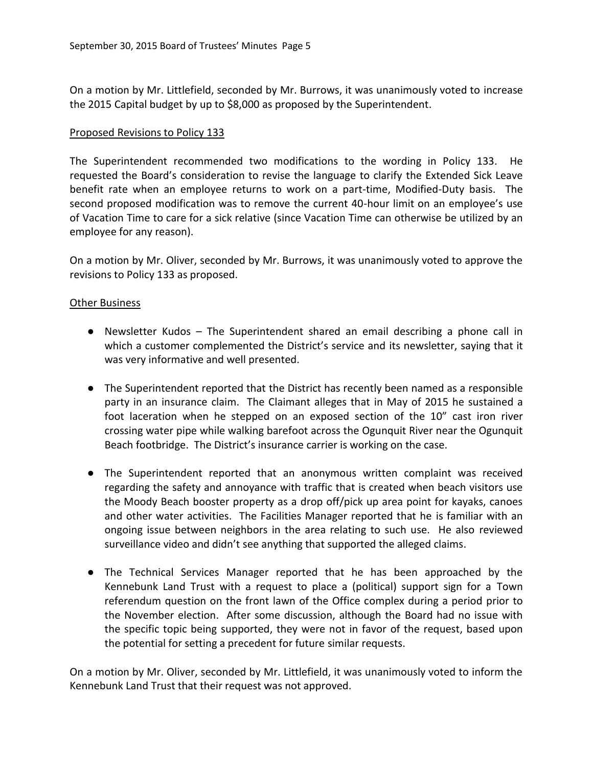On a motion by Mr. Littlefield, seconded by Mr. Burrows, it was unanimously voted to increase the 2015 Capital budget by up to \$8,000 as proposed by the Superintendent.

#### Proposed Revisions to Policy 133

The Superintendent recommended two modifications to the wording in Policy 133. He requested the Board's consideration to revise the language to clarify the Extended Sick Leave benefit rate when an employee returns to work on a part-time, Modified-Duty basis. The second proposed modification was to remove the current 40-hour limit on an employee's use of Vacation Time to care for a sick relative (since Vacation Time can otherwise be utilized by an employee for any reason).

On a motion by Mr. Oliver, seconded by Mr. Burrows, it was unanimously voted to approve the revisions to Policy 133 as proposed.

# Other Business

- Newsletter Kudos The Superintendent shared an email describing a phone call in which a customer complemented the District's service and its newsletter, saying that it was very informative and well presented.
- The Superintendent reported that the District has recently been named as a responsible party in an insurance claim. The Claimant alleges that in May of 2015 he sustained a foot laceration when he stepped on an exposed section of the 10" cast iron river crossing water pipe while walking barefoot across the Ogunquit River near the Ogunquit Beach footbridge. The District's insurance carrier is working on the case.
- The Superintendent reported that an anonymous written complaint was received regarding the safety and annoyance with traffic that is created when beach visitors use the Moody Beach booster property as a drop off/pick up area point for kayaks, canoes and other water activities. The Facilities Manager reported that he is familiar with an ongoing issue between neighbors in the area relating to such use. He also reviewed surveillance video and didn't see anything that supported the alleged claims.
- The Technical Services Manager reported that he has been approached by the Kennebunk Land Trust with a request to place a (political) support sign for a Town referendum question on the front lawn of the Office complex during a period prior to the November election. After some discussion, although the Board had no issue with the specific topic being supported, they were not in favor of the request, based upon the potential for setting a precedent for future similar requests.

On a motion by Mr. Oliver, seconded by Mr. Littlefield, it was unanimously voted to inform the Kennebunk Land Trust that their request was not approved.